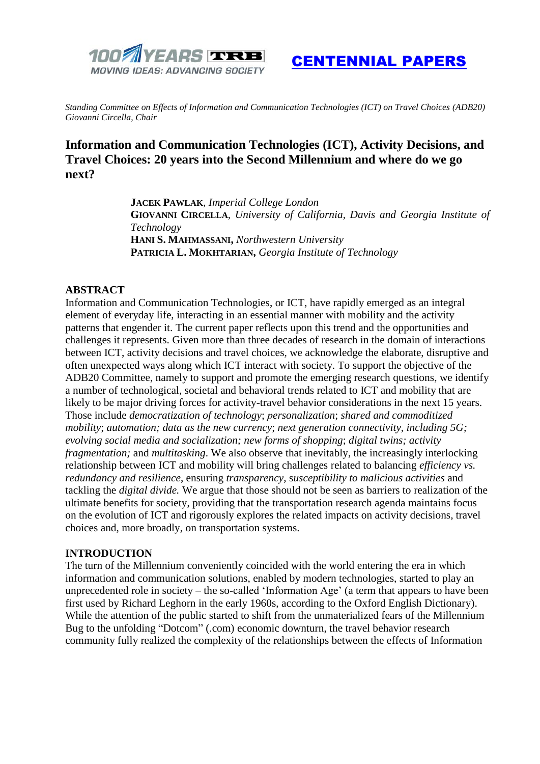

[CENTENNIAL PAPERS](https://trbcentennial.nationalacademies.org/centennial-papers)

*Standing Committee on Effects of Information and Communication Technologies (ICT) on Travel Choices (ADB20) Giovanni Circella, Chair*

# **Information and Communication Technologies (ICT), Activity Decisions, and Travel Choices: 20 years into the Second Millennium and where do we go next?**

**JACEK PAWLAK**, *Imperial College London* **GIOVANNI CIRCELLA**, *University of California, Davis and Georgia Institute of Technology* **HANI S. MAHMASSANI,** *Northwestern University* **PATRICIA L. MOKHTARIAN,** *Georgia Institute of Technology*

#### **ABSTRACT**

Information and Communication Technologies, or ICT, have rapidly emerged as an integral element of everyday life, interacting in an essential manner with mobility and the activity patterns that engender it. The current paper reflects upon this trend and the opportunities and challenges it represents. Given more than three decades of research in the domain of interactions between ICT, activity decisions and travel choices, we acknowledge the elaborate, disruptive and often unexpected ways along which ICT interact with society. To support the objective of the ADB20 Committee, namely to support and promote the emerging research questions, we identify a number of technological, societal and behavioral trends related to ICT and mobility that are likely to be major driving forces for activity-travel behavior considerations in the next 15 years. Those include *democratization of technology*; *personalization*; *shared and commoditized mobility*; *automation; data as the new currency*; *next generation connectivity, including 5G; evolving social media and socialization; new forms of shopping*; *digital twins; activity fragmentation;* and *multitasking*. We also observe that inevitably, the increasingly interlocking relationship between ICT and mobility will bring challenges related to balancing *efficiency vs. redundancy and resilience*, ensuring *transparency*, s*usceptibility to malicious activities* and tackling the *digital divide.* We argue that those should not be seen as barriers to realization of the ultimate benefits for society, providing that the transportation research agenda maintains focus on the evolution of ICT and rigorously explores the related impacts on activity decisions, travel choices and, more broadly, on transportation systems.

#### **INTRODUCTION**

The turn of the Millennium conveniently coincided with the world entering the era in which information and communication solutions, enabled by modern technologies, started to play an unprecedented role in society – the so-called 'Information Age' (a term that appears to have been first used by Richard Leghorn in the early 1960s, according to the Oxford English Dictionary). While the attention of the public started to shift from the unmaterialized fears of the Millennium Bug to the unfolding "Dotcom" (.com) economic downturn, the travel behavior research community fully realized the complexity of the relationships between the effects of Information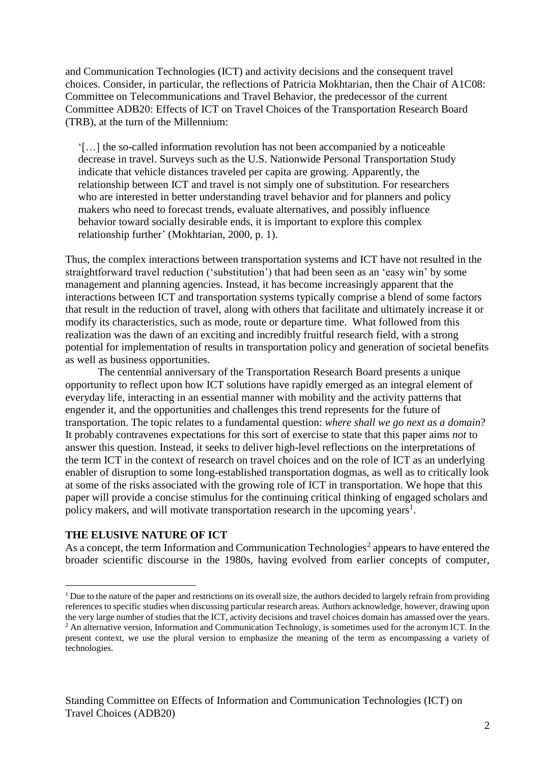and Communication Technologies (ICT) and activity decisions and the consequent travel choices. Consider, in particular, the reflections of Patricia Mokhtarian, then the Chair of A1C08: Committee on Telecommunications and Travel Behavior, the predecessor of the current Committee ADB20: Effects of ICT on Travel Choices of the Transportation Research Board (TRB), at the turn of the Millennium:

'[…] the so-called information revolution has not been accompanied by a noticeable decrease in travel. Surveys such as the U.S. Nationwide Personal Transportation Study indicate that vehicle distances traveled per capita are growing. Apparently, the relationship between ICT and travel is not simply one of substitution. For researchers who are interested in better understanding travel behavior and for planners and policy makers who need to forecast trends, evaluate alternatives, and possibly influence behavior toward socially desirable ends, it is important to explore this complex relationship further' (Mokhtarian, 2000, p. 1).

Thus, the complex interactions between transportation systems and ICT have not resulted in the straightforward travel reduction ('substitution') that had been seen as an 'easy win' by some management and planning agencies. Instead, it has become increasingly apparent that the interactions between ICT and transportation systems typically comprise a blend of some factors that result in the reduction of travel, along with others that facilitate and ultimately increase it or modify its characteristics, such as mode, route or departure time. What followed from this realization was the dawn of an exciting and incredibly fruitful research field, with a strong potential for implementation of results in transportation policy and generation of societal benefits as well as business opportunities.

The centennial anniversary of the Transportation Research Board presents a unique opportunity to reflect upon how ICT solutions have rapidly emerged as an integral element of everyday life, interacting in an essential manner with mobility and the activity patterns that engender it, and the opportunities and challenges this trend represents for the future of transportation. The topic relates to a fundamental question: *where shall we go next as a domain*? It probably contravenes expectations for this sort of exercise to state that this paper aims *not* to answer this question. Instead, it seeks to deliver high-level reflections on the interpretations of the term ICT in the context of research on travel choices and on the role of ICT as an underlying enabler of disruption to some long-established transportation dogmas, as well as to critically look at some of the risks associated with the growing role of ICT in transportation. We hope that this paper will provide a concise stimulus for the continuing critical thinking of engaged scholars and policy makers, and will motivate transportation research in the upcoming years<sup>1</sup>.

## **THE ELUSIVE NATURE OF ICT**

As a concept, the term Information and Communication Technologies<sup>2</sup> appears to have entered the broader scientific discourse in the 1980s, having evolved from earlier concepts of computer,

<sup>1</sup> <sup>1</sup> Due to the nature of the paper and restrictions on its overall size, the authors decided to largely refrain from providing references to specific studies when discussing particular research areas. Authors acknowledge, however, drawing upon the very large number of studies that the ICT, activity decisions and travel choices domain has amassed over the years. <sup>2</sup> An alternative version, Information and Communication Technology, is sometimes used for the acronym ICT. In the present context, we use the plural version to emphasize the meaning of the term as encompassing a variety of technologies.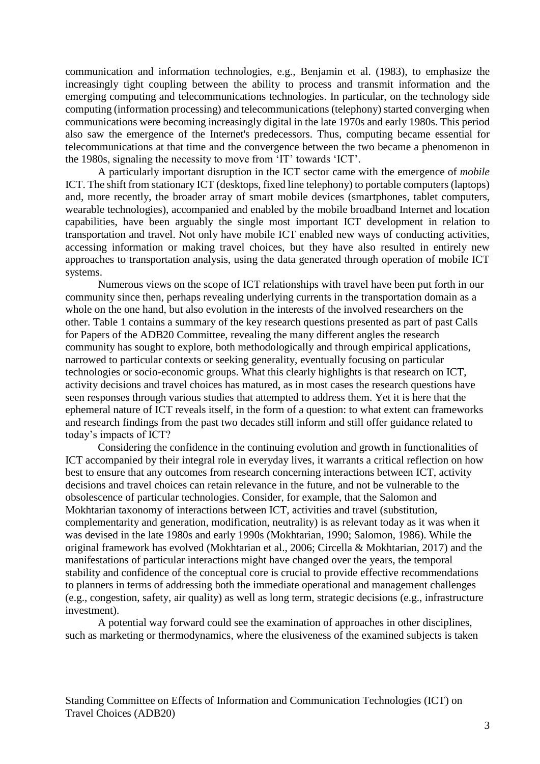communication and information technologies, e.g., Benjamin et al. (1983), to emphasize the increasingly tight coupling between the ability to process and transmit information and the emerging computing and telecommunications technologies. In particular, on the technology side computing (information processing) and telecommunications (telephony) started converging when communications were becoming increasingly digital in the late 1970s and early 1980s. This period also saw the emergence of the Internet's predecessors. Thus, computing became essential for telecommunications at that time and the convergence between the two became a phenomenon in the 1980s, signaling the necessity to move from 'IT' towards 'ICT'.

A particularly important disruption in the ICT sector came with the emergence of *mobile*  ICT. The shift from stationary ICT (desktops, fixed line telephony) to portable computers (laptops) and, more recently, the broader array of smart mobile devices (smartphones, tablet computers, wearable technologies), accompanied and enabled by the mobile broadband Internet and location capabilities, have been arguably the single most important ICT development in relation to transportation and travel. Not only have mobile ICT enabled new ways of conducting activities, accessing information or making travel choices, but they have also resulted in entirely new approaches to transportation analysis, using the data generated through operation of mobile ICT systems.

Numerous views on the scope of ICT relationships with travel have been put forth in our community since then, perhaps revealing underlying currents in the transportation domain as a whole on the one hand, but also evolution in the interests of the involved researchers on the other. Table 1 contains a summary of the key research questions presented as part of past Calls for Papers of the ADB20 Committee, revealing the many different angles the research community has sought to explore, both methodologically and through empirical applications, narrowed to particular contexts or seeking generality, eventually focusing on particular technologies or socio-economic groups. What this clearly highlights is that research on ICT, activity decisions and travel choices has matured, as in most cases the research questions have seen responses through various studies that attempted to address them. Yet it is here that the ephemeral nature of ICT reveals itself, in the form of a question: to what extent can frameworks and research findings from the past two decades still inform and still offer guidance related to today's impacts of ICT?

Considering the confidence in the continuing evolution and growth in functionalities of ICT accompanied by their integral role in everyday lives, it warrants a critical reflection on how best to ensure that any outcomes from research concerning interactions between ICT, activity decisions and travel choices can retain relevance in the future, and not be vulnerable to the obsolescence of particular technologies. Consider, for example, that the Salomon and Mokhtarian taxonomy of interactions between ICT, activities and travel (substitution, complementarity and generation, modification, neutrality) is as relevant today as it was when it was devised in the late 1980s and early 1990s (Mokhtarian, 1990; Salomon, 1986). While the original framework has evolved (Mokhtarian et al., 2006; Circella & Mokhtarian, 2017) and the manifestations of particular interactions might have changed over the years, the temporal stability and confidence of the conceptual core is crucial to provide effective recommendations to planners in terms of addressing both the immediate operational and management challenges (e.g., congestion, safety, air quality) as well as long term, strategic decisions (e.g., infrastructure investment).

A potential way forward could see the examination of approaches in other disciplines, such as marketing or thermodynamics, where the elusiveness of the examined subjects is taken

Standing Committee on Effects of Information and Communication Technologies (ICT) on Travel Choices (ADB20)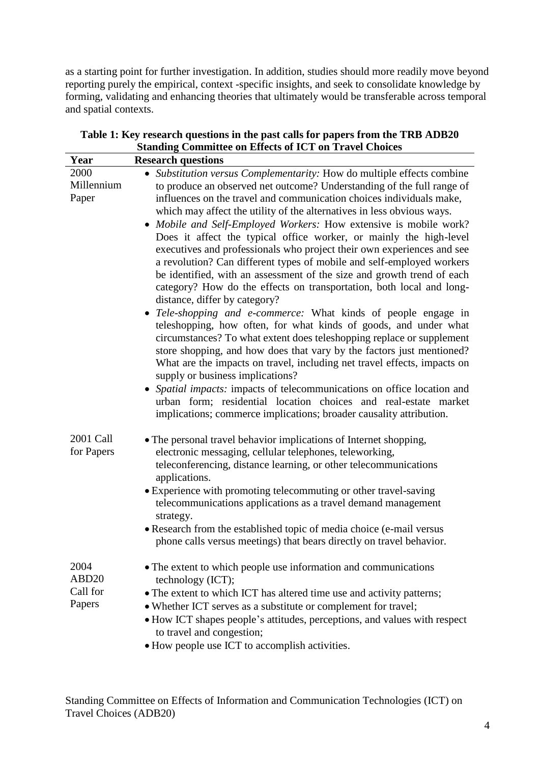as a starting point for further investigation. In addition, studies should more readily move beyond reporting purely the empirical, context -specific insights, and seek to consolidate knowledge by forming, validating and enhancing theories that ultimately would be transferable across temporal and spatial contexts.

| Year                                            | <b>Research questions</b>                                                                                                                                                                                                                                                                                                                                                                                                                                                                                                                                                                                                                                                                                                                                                                                                                                                                                                                                                                                                                                                                                                                                                                                                                                                                                                                                                                                    |
|-------------------------------------------------|--------------------------------------------------------------------------------------------------------------------------------------------------------------------------------------------------------------------------------------------------------------------------------------------------------------------------------------------------------------------------------------------------------------------------------------------------------------------------------------------------------------------------------------------------------------------------------------------------------------------------------------------------------------------------------------------------------------------------------------------------------------------------------------------------------------------------------------------------------------------------------------------------------------------------------------------------------------------------------------------------------------------------------------------------------------------------------------------------------------------------------------------------------------------------------------------------------------------------------------------------------------------------------------------------------------------------------------------------------------------------------------------------------------|
| 2000<br>Millennium<br>Paper                     | Substitution versus Complementarity: How do multiple effects combine<br>to produce an observed net outcome? Understanding of the full range of<br>influences on the travel and communication choices individuals make,<br>which may affect the utility of the alternatives in less obvious ways.<br>• Mobile and Self-Employed Workers: How extensive is mobile work?<br>Does it affect the typical office worker, or mainly the high-level<br>executives and professionals who project their own experiences and see<br>a revolution? Can different types of mobile and self-employed workers<br>be identified, with an assessment of the size and growth trend of each<br>category? How do the effects on transportation, both local and long-<br>distance, differ by category?<br>• Tele-shopping and e-commerce: What kinds of people engage in<br>teleshopping, how often, for what kinds of goods, and under what<br>circumstances? To what extent does teleshopping replace or supplement<br>store shopping, and how does that vary by the factors just mentioned?<br>What are the impacts on travel, including net travel effects, impacts on<br>supply or business implications?<br>Spatial impacts: impacts of telecommunications on office location and<br>urban form; residential location choices and real-estate market<br>implications; commerce implications; broader causality attribution. |
| 2001 Call<br>for Papers                         | • The personal travel behavior implications of Internet shopping,<br>electronic messaging, cellular telephones, teleworking,<br>teleconferencing, distance learning, or other telecommunications<br>applications.<br>• Experience with promoting telecommuting or other travel-saving<br>telecommunications applications as a travel demand management<br>strategy.<br>• Research from the established topic of media choice (e-mail versus<br>phone calls versus meetings) that bears directly on travel behavior.                                                                                                                                                                                                                                                                                                                                                                                                                                                                                                                                                                                                                                                                                                                                                                                                                                                                                          |
| 2004<br>ABD <sub>20</sub><br>Call for<br>Papers | • The extent to which people use information and communications<br>technology (ICT);<br>• The extent to which ICT has altered time use and activity patterns;<br>• Whether ICT serves as a substitute or complement for travel;<br>· How ICT shapes people's attitudes, perceptions, and values with respect<br>to travel and congestion;<br>• How people use ICT to accomplish activities.                                                                                                                                                                                                                                                                                                                                                                                                                                                                                                                                                                                                                                                                                                                                                                                                                                                                                                                                                                                                                  |

## **Table 1: Key research questions in the past calls for papers from the TRB ADB20 Standing Committee on Effects of ICT on Travel Choices**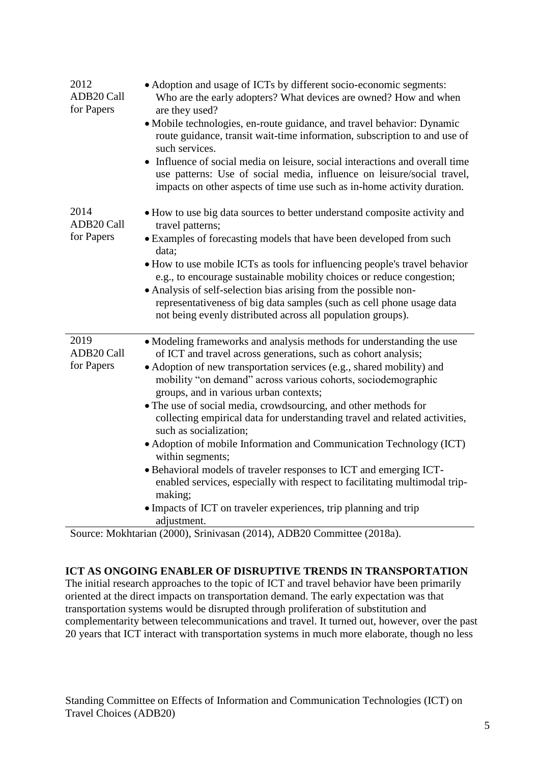| 2012<br>ADB20 Call<br>for Papers | • Adoption and usage of ICTs by different socio-economic segments:<br>Who are the early adopters? What devices are owned? How and when<br>are they used?<br>· Mobile technologies, en-route guidance, and travel behavior: Dynamic<br>route guidance, transit wait-time information, subscription to and use of<br>such services.<br>• Influence of social media on leisure, social interactions and overall time<br>use patterns: Use of social media, influence on leisure/social travel,<br>impacts on other aspects of time use such as in-home activity duration.                                                                                                                                                                                                                                                                             |
|----------------------------------|----------------------------------------------------------------------------------------------------------------------------------------------------------------------------------------------------------------------------------------------------------------------------------------------------------------------------------------------------------------------------------------------------------------------------------------------------------------------------------------------------------------------------------------------------------------------------------------------------------------------------------------------------------------------------------------------------------------------------------------------------------------------------------------------------------------------------------------------------|
| 2014<br>ADB20 Call<br>for Papers | • How to use big data sources to better understand composite activity and<br>travel patterns;<br>• Examples of forecasting models that have been developed from such<br>data;<br>• How to use mobile ICTs as tools for influencing people's travel behavior<br>e.g., to encourage sustainable mobility choices or reduce congestion;<br>• Analysis of self-selection bias arising from the possible non-<br>representativeness of big data samples (such as cell phone usage data<br>not being evenly distributed across all population groups).                                                                                                                                                                                                                                                                                                   |
| 2019<br>ADB20 Call<br>for Papers | • Modeling frameworks and analysis methods for understanding the use<br>of ICT and travel across generations, such as cohort analysis;<br>• Adoption of new transportation services (e.g., shared mobility) and<br>mobility "on demand" across various cohorts, sociodemographic<br>groups, and in various urban contexts;<br>• The use of social media, crowdsourcing, and other methods for<br>collecting empirical data for understanding travel and related activities,<br>such as socialization;<br>• Adoption of mobile Information and Communication Technology (ICT)<br>within segments;<br>• Behavioral models of traveler responses to ICT and emerging ICT-<br>enabled services, especially with respect to facilitating multimodal trip-<br>making;<br>• Impacts of ICT on traveler experiences, trip planning and trip<br>adjustment. |

Source: Mokhtarian (2000), Srinivasan (2014), ADB20 Committee (2018a).

## **ICT AS ONGOING ENABLER OF DISRUPTIVE TRENDS IN TRANSPORTATION**

The initial research approaches to the topic of ICT and travel behavior have been primarily oriented at the direct impacts on transportation demand. The early expectation was that transportation systems would be disrupted through proliferation of substitution and complementarity between telecommunications and travel. It turned out, however, over the past 20 years that ICT interact with transportation systems in much more elaborate, though no less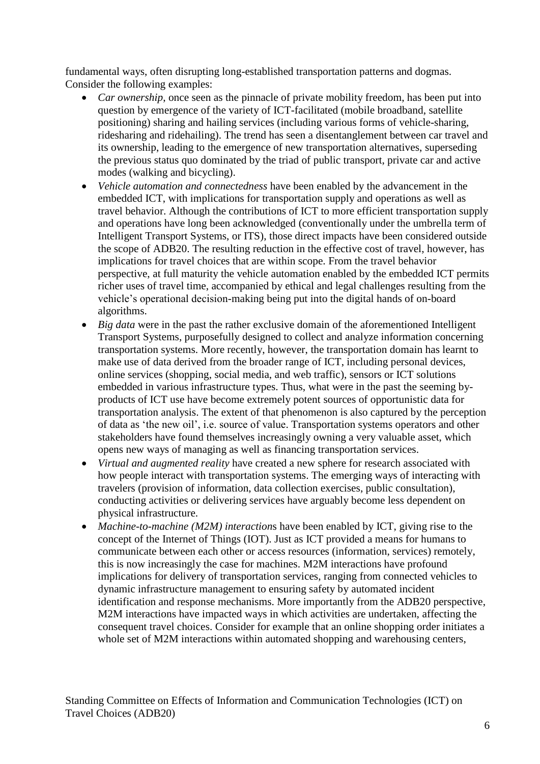fundamental ways, often disrupting long-established transportation patterns and dogmas. Consider the following examples:

- *Car ownership*, once seen as the pinnacle of private mobility freedom, has been put into question by emergence of the variety of ICT-facilitated (mobile broadband, satellite positioning) sharing and hailing services (including various forms of vehicle-sharing, ridesharing and ridehailing). The trend has seen a disentanglement between car travel and its ownership, leading to the emergence of new transportation alternatives, superseding the previous status quo dominated by the triad of public transport, private car and active modes (walking and bicycling).
- *Vehicle automation and connectedness* have been enabled by the advancement in the embedded ICT, with implications for transportation supply and operations as well as travel behavior. Although the contributions of ICT to more efficient transportation supply and operations have long been acknowledged (conventionally under the umbrella term of Intelligent Transport Systems, or ITS), those direct impacts have been considered outside the scope of ADB20. The resulting reduction in the effective cost of travel, however, has implications for travel choices that are within scope. From the travel behavior perspective, at full maturity the vehicle automation enabled by the embedded ICT permits richer uses of travel time, accompanied by ethical and legal challenges resulting from the vehicle's operational decision-making being put into the digital hands of on-board algorithms.
- *Big data* were in the past the rather exclusive domain of the aforementioned Intelligent Transport Systems, purposefully designed to collect and analyze information concerning transportation systems. More recently, however, the transportation domain has learnt to make use of data derived from the broader range of ICT, including personal devices, online services (shopping, social media, and web traffic), sensors or ICT solutions embedded in various infrastructure types. Thus, what were in the past the seeming byproducts of ICT use have become extremely potent sources of opportunistic data for transportation analysis. The extent of that phenomenon is also captured by the perception of data as 'the new oil', i.e. source of value. Transportation systems operators and other stakeholders have found themselves increasingly owning a very valuable asset, which opens new ways of managing as well as financing transportation services.
- *Virtual and augmented reality* have created a new sphere for research associated with how people interact with transportation systems. The emerging ways of interacting with travelers (provision of information, data collection exercises, public consultation), conducting activities or delivering services have arguably become less dependent on physical infrastructure.
- *Machine-to-machine (M2M) interaction*s have been enabled by ICT, giving rise to the concept of the Internet of Things (IOT). Just as ICT provided a means for humans to communicate between each other or access resources (information, services) remotely, this is now increasingly the case for machines. M2M interactions have profound implications for delivery of transportation services, ranging from connected vehicles to dynamic infrastructure management to ensuring safety by automated incident identification and response mechanisms. More importantly from the ADB20 perspective, M2M interactions have impacted ways in which activities are undertaken, affecting the consequent travel choices. Consider for example that an online shopping order initiates a whole set of M2M interactions within automated shopping and warehousing centers,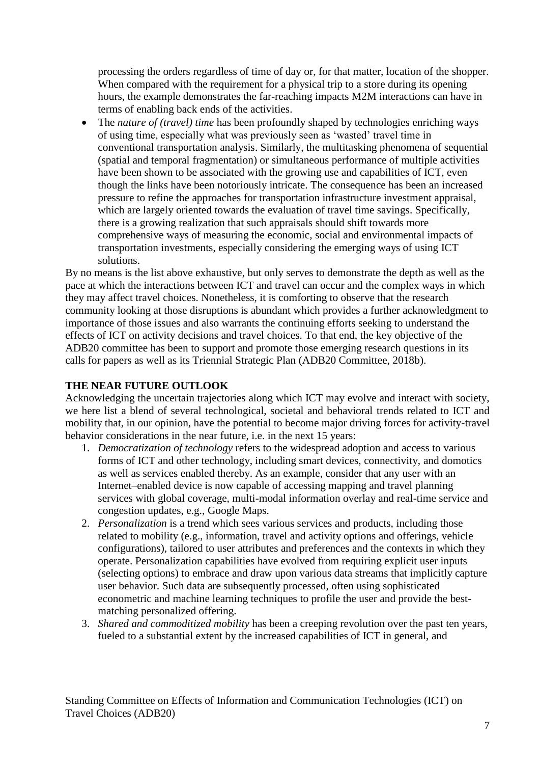processing the orders regardless of time of day or, for that matter, location of the shopper. When compared with the requirement for a physical trip to a store during its opening hours, the example demonstrates the far-reaching impacts M2M interactions can have in terms of enabling back ends of the activities.

• The *nature of (travel) time* has been profoundly shaped by technologies enriching ways of using time, especially what was previously seen as 'wasted' travel time in conventional transportation analysis. Similarly, the multitasking phenomena of sequential (spatial and temporal fragmentation) or simultaneous performance of multiple activities have been shown to be associated with the growing use and capabilities of ICT, even though the links have been notoriously intricate. The consequence has been an increased pressure to refine the approaches for transportation infrastructure investment appraisal, which are largely oriented towards the evaluation of travel time savings. Specifically, there is a growing realization that such appraisals should shift towards more comprehensive ways of measuring the economic, social and environmental impacts of transportation investments, especially considering the emerging ways of using ICT solutions.

By no means is the list above exhaustive, but only serves to demonstrate the depth as well as the pace at which the interactions between ICT and travel can occur and the complex ways in which they may affect travel choices. Nonetheless, it is comforting to observe that the research community looking at those disruptions is abundant which provides a further acknowledgment to importance of those issues and also warrants the continuing efforts seeking to understand the effects of ICT on activity decisions and travel choices. To that end, the key objective of the ADB20 committee has been to support and promote those emerging research questions in its calls for papers as well as its Triennial Strategic Plan (ADB20 Committee, 2018b).

## **THE NEAR FUTURE OUTLOOK**

Acknowledging the uncertain trajectories along which ICT may evolve and interact with society, we here list a blend of several technological, societal and behavioral trends related to ICT and mobility that, in our opinion, have the potential to become major driving forces for activity-travel behavior considerations in the near future, i.e. in the next 15 years:

- 1. *Democratization of technology* refers to the widespread adoption and access to various forms of ICT and other technology, including smart devices, connectivity, and domotics as well as services enabled thereby. As an example, consider that any user with an Internet–enabled device is now capable of accessing mapping and travel planning services with global coverage, multi-modal information overlay and real-time service and congestion updates, e.g., Google Maps.
- 2. *Personalization* is a trend which sees various services and products, including those related to mobility (e.g., information, travel and activity options and offerings, vehicle configurations), tailored to user attributes and preferences and the contexts in which they operate. Personalization capabilities have evolved from requiring explicit user inputs (selecting options) to embrace and draw upon various data streams that implicitly capture user behavior. Such data are subsequently processed, often using sophisticated econometric and machine learning techniques to profile the user and provide the bestmatching personalized offering.
- 3. *Shared and commoditized mobility* has been a creeping revolution over the past ten years, fueled to a substantial extent by the increased capabilities of ICT in general, and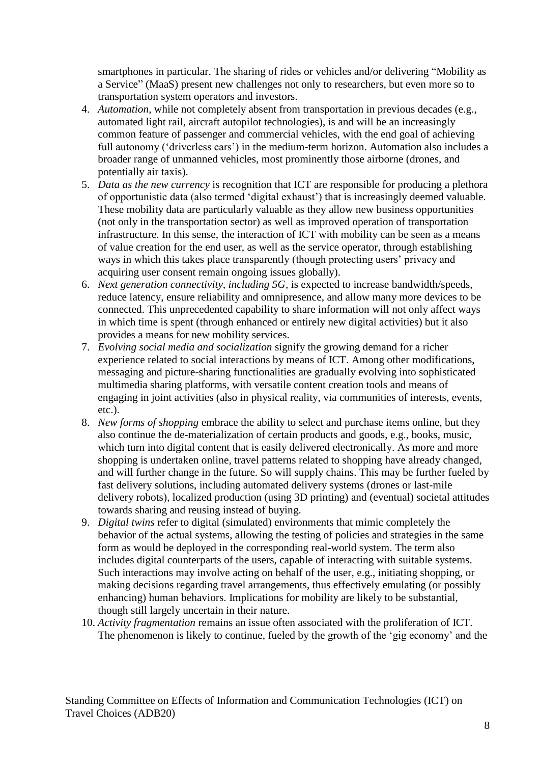smartphones in particular. The sharing of rides or vehicles and/or delivering "Mobility as a Service" (MaaS) present new challenges not only to researchers, but even more so to transportation system operators and investors.

- 4. *Automation,* while not completely absent from transportation in previous decades (e.g., automated light rail, aircraft autopilot technologies), is and will be an increasingly common feature of passenger and commercial vehicles, with the end goal of achieving full autonomy ('driverless cars') in the medium-term horizon. Automation also includes a broader range of unmanned vehicles, most prominently those airborne (drones, and potentially air taxis).
- 5. *Data as the new currency* is recognition that ICT are responsible for producing a plethora of opportunistic data (also termed 'digital exhaust') that is increasingly deemed valuable. These mobility data are particularly valuable as they allow new business opportunities (not only in the transportation sector) as well as improved operation of transportation infrastructure. In this sense, the interaction of ICT with mobility can be seen as a means of value creation for the end user, as well as the service operator, through establishing ways in which this takes place transparently (though protecting users' privacy and acquiring user consent remain ongoing issues globally).
- 6. *Next generation connectivity, including 5G,* is expected to increase bandwidth/speeds, reduce latency, ensure reliability and omnipresence, and allow many more devices to be connected. This unprecedented capability to share information will not only affect ways in which time is spent (through enhanced or entirely new digital activities) but it also provides a means for new mobility services.
- 7. *Evolving social media and socialization* signify the growing demand for a richer experience related to social interactions by means of ICT. Among other modifications, messaging and picture-sharing functionalities are gradually evolving into sophisticated multimedia sharing platforms, with versatile content creation tools and means of engaging in joint activities (also in physical reality, via communities of interests, events, etc.).
- 8. *New forms of shopping* embrace the ability to select and purchase items online, but they also continue the de-materialization of certain products and goods, e.g., books, music, which turn into digital content that is easily delivered electronically. As more and more shopping is undertaken online, travel patterns related to shopping have already changed, and will further change in the future. So will supply chains. This may be further fueled by fast delivery solutions, including automated delivery systems (drones or last-mile delivery robots), localized production (using 3D printing) and (eventual) societal attitudes towards sharing and reusing instead of buying.
- 9. *Digital twins* refer to digital (simulated) environments that mimic completely the behavior of the actual systems, allowing the testing of policies and strategies in the same form as would be deployed in the corresponding real-world system. The term also includes digital counterparts of the users, capable of interacting with suitable systems. Such interactions may involve acting on behalf of the user, e.g., initiating shopping, or making decisions regarding travel arrangements, thus effectively emulating (or possibly enhancing) human behaviors. Implications for mobility are likely to be substantial, though still largely uncertain in their nature.
- 10. *Activity fragmentation* remains an issue often associated with the proliferation of ICT. The phenomenon is likely to continue, fueled by the growth of the 'gig economy' and the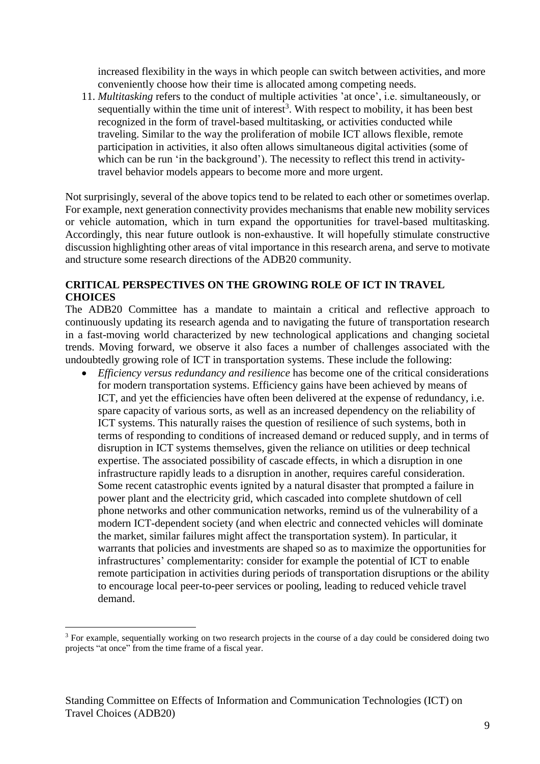increased flexibility in the ways in which people can switch between activities, and more conveniently choose how their time is allocated among competing needs.

11. *Multitasking* refers to the conduct of multiple activities 'at once', i.e. simultaneously, or sequentially within the time unit of interest<sup>3</sup>. With respect to mobility, it has been best recognized in the form of travel-based multitasking, or activities conducted while traveling. Similar to the way the proliferation of mobile ICT allows flexible, remote participation in activities, it also often allows simultaneous digital activities (some of which can be run 'in the background'). The necessity to reflect this trend in activitytravel behavior models appears to become more and more urgent.

Not surprisingly, several of the above topics tend to be related to each other or sometimes overlap. For example, next generation connectivity provides mechanisms that enable new mobility services or vehicle automation, which in turn expand the opportunities for travel-based multitasking. Accordingly, this near future outlook is non-exhaustive. It will hopefully stimulate constructive discussion highlighting other areas of vital importance in this research arena, and serve to motivate and structure some research directions of the ADB20 community.

## **CRITICAL PERSPECTIVES ON THE GROWING ROLE OF ICT IN TRAVEL CHOICES**

The ADB20 Committee has a mandate to maintain a critical and reflective approach to continuously updating its research agenda and to navigating the future of transportation research in a fast-moving world characterized by new technological applications and changing societal trends. Moving forward, we observe it also faces a number of challenges associated with the undoubtedly growing role of ICT in transportation systems. These include the following:

 *Efficiency versus redundancy and resilience* has become one of the critical considerations for modern transportation systems. Efficiency gains have been achieved by means of ICT, and yet the efficiencies have often been delivered at the expense of redundancy, i.e. spare capacity of various sorts, as well as an increased dependency on the reliability of ICT systems. This naturally raises the question of resilience of such systems, both in terms of responding to conditions of increased demand or reduced supply, and in terms of disruption in ICT systems themselves, given the reliance on utilities or deep technical expertise. The associated possibility of cascade effects, in which a disruption in one infrastructure rapidly leads to a disruption in another, requires careful consideration. Some recent catastrophic events ignited by a natural disaster that prompted a failure in power plant and the electricity grid, which cascaded into complete shutdown of cell phone networks and other communication networks, remind us of the vulnerability of a modern ICT-dependent society (and when electric and connected vehicles will dominate the market, similar failures might affect the transportation system). In particular, it warrants that policies and investments are shaped so as to maximize the opportunities for infrastructures' complementarity: consider for example the potential of ICT to enable remote participation in activities during periods of transportation disruptions or the ability to encourage local peer-to-peer services or pooling, leading to reduced vehicle travel demand.

<u>.</u>

<sup>&</sup>lt;sup>3</sup> For example, sequentially working on two research projects in the course of a day could be considered doing two projects "at once" from the time frame of a fiscal year.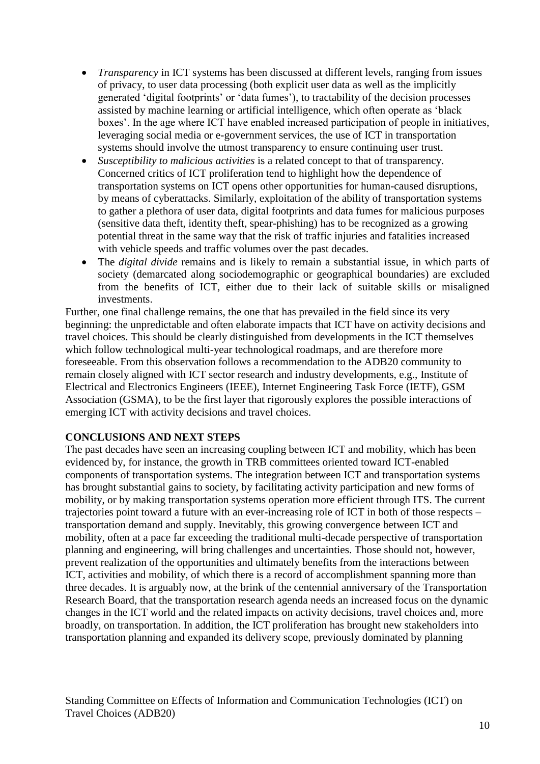- *Transparency* in ICT systems has been discussed at different levels, ranging from issues of privacy, to user data processing (both explicit user data as well as the implicitly generated 'digital footprints' or 'data fumes'), to tractability of the decision processes assisted by machine learning or artificial intelligence, which often operate as 'black boxes'. In the age where ICT have enabled increased participation of people in initiatives, leveraging social media or e-government services, the use of ICT in transportation systems should involve the utmost transparency to ensure continuing user trust.
- *Susceptibility to malicious activities* is a related concept to that of transparency. Concerned critics of ICT proliferation tend to highlight how the dependence of transportation systems on ICT opens other opportunities for human-caused disruptions, by means of cyberattacks. Similarly, exploitation of the ability of transportation systems to gather a plethora of user data, digital footprints and data fumes for malicious purposes (sensitive data theft, identity theft, spear-phishing) has to be recognized as a growing potential threat in the same way that the risk of traffic injuries and fatalities increased with vehicle speeds and traffic volumes over the past decades.
- The *digital divide* remains and is likely to remain a substantial issue, in which parts of society (demarcated along sociodemographic or geographical boundaries) are excluded from the benefits of ICT, either due to their lack of suitable skills or misaligned investments.

Further, one final challenge remains, the one that has prevailed in the field since its very beginning: the unpredictable and often elaborate impacts that ICT have on activity decisions and travel choices. This should be clearly distinguished from developments in the ICT themselves which follow technological multi-year technological roadmaps, and are therefore more foreseeable. From this observation follows a recommendation to the ADB20 community to remain closely aligned with ICT sector research and industry developments, e.g., Institute of Electrical and Electronics Engineers (IEEE), Internet Engineering Task Force (IETF), GSM Association (GSMA), to be the first layer that rigorously explores the possible interactions of emerging ICT with activity decisions and travel choices.

## **CONCLUSIONS AND NEXT STEPS**

The past decades have seen an increasing coupling between ICT and mobility, which has been evidenced by, for instance, the growth in TRB committees oriented toward ICT-enabled components of transportation systems. The integration between ICT and transportation systems has brought substantial gains to society, by facilitating activity participation and new forms of mobility, or by making transportation systems operation more efficient through ITS. The current trajectories point toward a future with an ever-increasing role of ICT in both of those respects – transportation demand and supply. Inevitably, this growing convergence between ICT and mobility, often at a pace far exceeding the traditional multi-decade perspective of transportation planning and engineering, will bring challenges and uncertainties. Those should not, however, prevent realization of the opportunities and ultimately benefits from the interactions between ICT, activities and mobility, of which there is a record of accomplishment spanning more than three decades. It is arguably now, at the brink of the centennial anniversary of the Transportation Research Board, that the transportation research agenda needs an increased focus on the dynamic changes in the ICT world and the related impacts on activity decisions, travel choices and, more broadly, on transportation. In addition, the ICT proliferation has brought new stakeholders into transportation planning and expanded its delivery scope, previously dominated by planning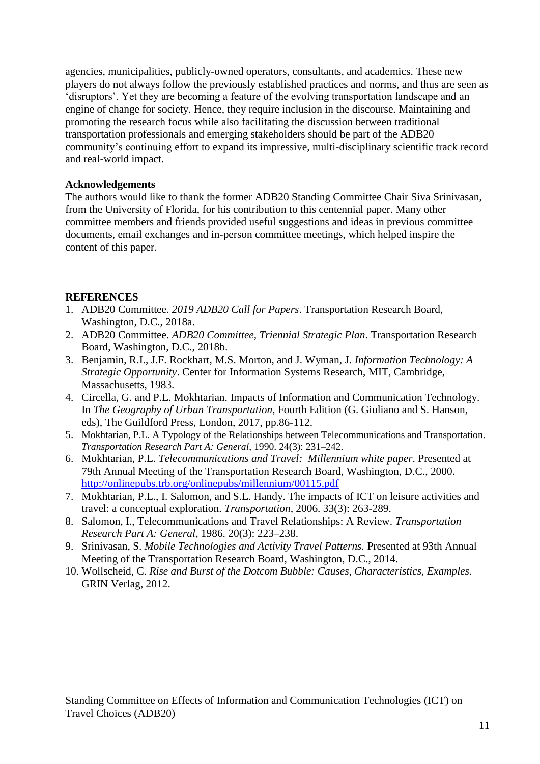agencies, municipalities, publicly-owned operators, consultants, and academics. These new players do not always follow the previously established practices and norms, and thus are seen as 'disruptors'. Yet they are becoming a feature of the evolving transportation landscape and an engine of change for society. Hence, they require inclusion in the discourse. Maintaining and promoting the research focus while also facilitating the discussion between traditional transportation professionals and emerging stakeholders should be part of the ADB20 community's continuing effort to expand its impressive, multi-disciplinary scientific track record and real-world impact.

#### **Acknowledgements**

The authors would like to thank the former ADB20 Standing Committee Chair Siva Srinivasan, from the University of Florida, for his contribution to this centennial paper. Many other committee members and friends provided useful suggestions and ideas in previous committee documents, email exchanges and in-person committee meetings, which helped inspire the content of this paper.

## **REFERENCES**

- 1. ADB20 Committee. *2019 ADB20 Call for Papers*. Transportation Research Board, Washington, D.C., 2018a.
- 2. ADB20 Committee. *ADB20 Committee, Triennial Strategic Plan*. Transportation Research Board, Washington, D.C., 2018b.
- 3. Benjamin, R.I., J.F. Rockhart, M.S. Morton, and J. Wyman, J. *Information Technology: A Strategic Opportunity*. Center for Information Systems Research, MIT, Cambridge, Massachusetts, 1983.
- 4. Circella, G. and P.L. Mokhtarian. Impacts of Information and Communication Technology. In *The Geography of Urban Transportation*, Fourth Edition (G. Giuliano and S. Hanson, eds), The Guildford Press, London, 2017, pp.86-112.
- 5. Mokhtarian, P.L. A Typology of the Relationships between Telecommunications and Transportation. *Transportation Research Part A: General*, 1990. 24(3): 231–242.
- 6. Mokhtarian, P.L. *Telecommunications and Travel: Millennium white paper*. Presented at 79th Annual Meeting of the Transportation Research Board, Washington, D.C., 2000. <http://onlinepubs.trb.org/onlinepubs/millennium/00115.pdf>
- 7. Mokhtarian, P.L., I. Salomon, and S.L. Handy. The impacts of ICT on leisure activities and travel: a conceptual exploration. *Transportation*, 2006. 33(3): 263-289.
- 8. Salomon, I., Telecommunications and Travel Relationships: A Review. *Transportation Research Part A: General*, 1986. 20(3): 223–238.
- 9. Srinivasan, S. *Mobile Technologies and Activity Travel Patterns.* Presented at 93th Annual Meeting of the Transportation Research Board, Washington, D.C., 2014.
- 10. Wollscheid, C. *Rise and Burst of the Dotcom Bubble: Causes, Characteristics, Examples*. GRIN Verlag, 2012.